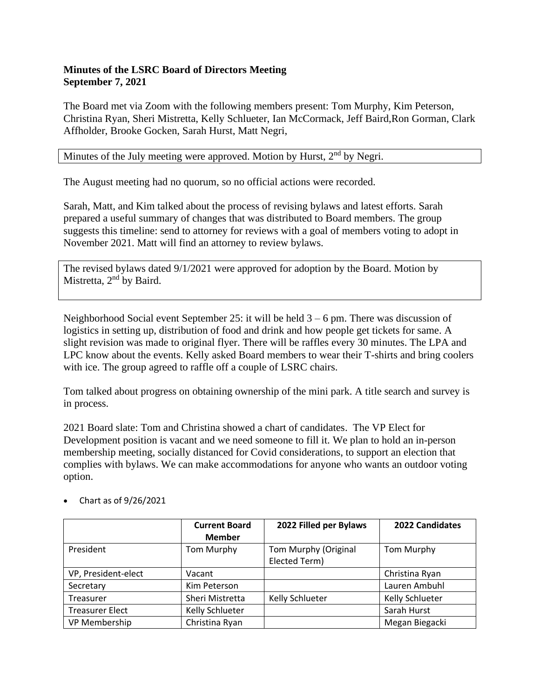## **Minutes of the LSRC Board of Directors Meeting September 7, 2021**

The Board met via Zoom with the following members present: Tom Murphy, Kim Peterson, Christina Ryan, Sheri Mistretta, Kelly Schlueter, Ian McCormack, Jeff Baird,Ron Gorman, Clark Affholder, Brooke Gocken, Sarah Hurst, Matt Negri,

Minutes of the July meeting were approved. Motion by Hurst,  $2<sup>nd</sup>$  by Negri.

The August meeting had no quorum, so no official actions were recorded.

Sarah, Matt, and Kim talked about the process of revising bylaws and latest efforts. Sarah prepared a useful summary of changes that was distributed to Board members. The group suggests this timeline: send to attorney for reviews with a goal of members voting to adopt in November 2021. Matt will find an attorney to review bylaws.

The revised bylaws dated 9/1/2021 were approved for adoption by the Board. Motion by Mistretta, 2<sup>nd</sup> by Baird.

Neighborhood Social event September 25: it will be held  $3 - 6$  pm. There was discussion of logistics in setting up, distribution of food and drink and how people get tickets for same. A slight revision was made to original flyer. There will be raffles every 30 minutes. The LPA and LPC know about the events. Kelly asked Board members to wear their T-shirts and bring coolers with ice. The group agreed to raffle off a couple of LSRC chairs.

Tom talked about progress on obtaining ownership of the mini park. A title search and survey is in process.

2021 Board slate: Tom and Christina showed a chart of candidates. The VP Elect for Development position is vacant and we need someone to fill it. We plan to hold an in-person membership meeting, socially distanced for Covid considerations, to support an election that complies with bylaws. We can make accommodations for anyone who wants an outdoor voting option.

|                        | <b>Current Board</b><br><b>Member</b> | 2022 Filled per Bylaws                | <b>2022 Candidates</b> |
|------------------------|---------------------------------------|---------------------------------------|------------------------|
| President              | Tom Murphy                            | Tom Murphy (Original<br>Elected Term) | Tom Murphy             |
| VP, President-elect    | Vacant                                |                                       | Christina Ryan         |
| Secretary              | Kim Peterson                          |                                       | Lauren Ambuhl          |
| Treasurer              | Sheri Mistretta                       | Kelly Schlueter                       | Kelly Schlueter        |
| <b>Treasurer Elect</b> | Kelly Schlueter                       |                                       | Sarah Hurst            |
| VP Membership          | Christina Ryan                        |                                       | Megan Biegacki         |

• Chart as of 9/26/2021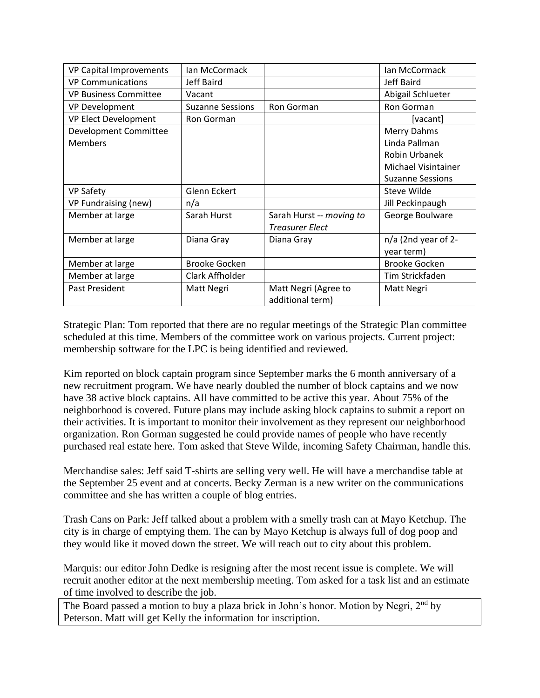| <b>VP Capital Improvements</b> | Ian McCormack           |                          | Ian McCormack           |
|--------------------------------|-------------------------|--------------------------|-------------------------|
| <b>VP Communications</b>       | Jeff Baird              |                          | Jeff Baird              |
| <b>VP Business Committee</b>   | Vacant                  |                          | Abigail Schlueter       |
| <b>VP Development</b>          | <b>Suzanne Sessions</b> | Ron Gorman               | Ron Gorman              |
| VP Elect Development           | Ron Gorman              |                          | [vacant]                |
| Development Committee          |                         |                          | Merry Dahms             |
| <b>Members</b>                 |                         |                          | Linda Pallman           |
|                                |                         |                          | <b>Robin Urbanek</b>    |
|                                |                         |                          | Michael Visintainer     |
|                                |                         |                          | <b>Suzanne Sessions</b> |
| <b>VP Safety</b>               | Glenn Eckert            |                          | Steve Wilde             |
| VP Fundraising (new)           | n/a                     |                          | Jill Peckinpaugh        |
| Member at large                | Sarah Hurst             | Sarah Hurst -- moving to | George Boulware         |
|                                |                         | <b>Treasurer Elect</b>   |                         |
| Member at large                | Diana Gray              | Diana Gray               | n/a (2nd year of 2-     |
|                                |                         |                          | year term)              |
| Member at large                | <b>Brooke Gocken</b>    |                          | <b>Brooke Gocken</b>    |
| Member at large                | Clark Affholder         |                          | Tim Strickfaden         |
| Past President                 | Matt Negri              | Matt Negri (Agree to     | Matt Negri              |
|                                |                         | additional term)         |                         |

Strategic Plan: Tom reported that there are no regular meetings of the Strategic Plan committee scheduled at this time. Members of the committee work on various projects. Current project: membership software for the LPC is being identified and reviewed.

Kim reported on block captain program since September marks the 6 month anniversary of a new recruitment program. We have nearly doubled the number of block captains and we now have 38 active block captains. All have committed to be active this year. About 75% of the neighborhood is covered. Future plans may include asking block captains to submit a report on their activities. It is important to monitor their involvement as they represent our neighborhood organization. Ron Gorman suggested he could provide names of people who have recently purchased real estate here. Tom asked that Steve Wilde, incoming Safety Chairman, handle this.

Merchandise sales: Jeff said T-shirts are selling very well. He will have a merchandise table at the September 25 event and at concerts. Becky Zerman is a new writer on the communications committee and she has written a couple of blog entries.

Trash Cans on Park: Jeff talked about a problem with a smelly trash can at Mayo Ketchup. The city is in charge of emptying them. The can by Mayo Ketchup is always full of dog poop and they would like it moved down the street. We will reach out to city about this problem.

Marquis: our editor John Dedke is resigning after the most recent issue is complete. We will recruit another editor at the next membership meeting. Tom asked for a task list and an estimate of time involved to describe the job.

The Board passed a motion to buy a plaza brick in John's honor. Motion by Negri,  $2<sup>nd</sup>$  by Peterson. Matt will get Kelly the information for inscription.